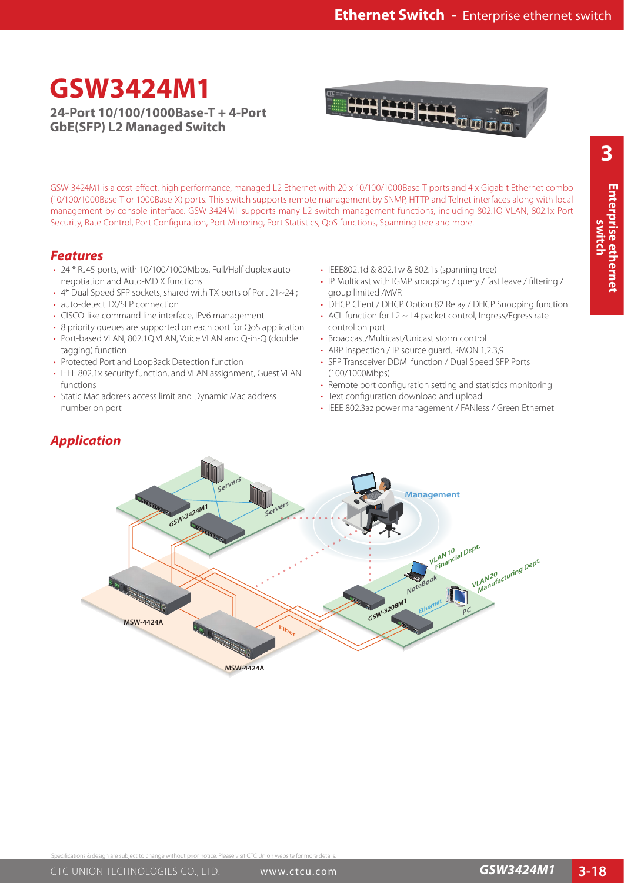## **GSW3424M1**

**24-Port 10/100/1000Base-T + 4-Port GbE(SFP) L2 Managed Switch**



**3**

GSW-3424M1 is a cost-effect, high performance, managed L2 Ethernet with 20 x 10/100/1000Base-T ports and 4 x Gigabit Ethernet combo (10/100/1000Base-T or 1000Base-X) ports. This switch supports remote management by SNMP, HTTP and Telnet interfaces along with local management by console interface. GSW-3424M1 supports many L2 switch management functions, including 802.1Q VLAN, 802.1x Port Security, Rate Control, Port Configuration, Port Mirroring, Port Statistics, QoS functions, Spanning tree and more.

## *Features*

- 24 \* RJ45 ports, with 10/100/1000Mbps, Full/Half duplex autonegotiation and Auto-MDIX functions
- 4\* Dual Speed SFP sockets, shared with TX ports of Port 21~24 ;
- auto-detect TX/SFP connection
- CISCO-like command line interface, IPv6 management
- 8 priority queues are supported on each port for QoS application
- Port-based VLAN, 802.1Q VLAN, Voice VLAN and Q-in-Q (double tagging) function
- Protected Port and LoopBack Detection function
- IEEE 802.1x security function, and VLAN assignment, Guest VLAN functions
- Static Mac address access limit and Dynamic Mac address number on port
- IEEE802.1d & 802.1w & 802.1s (spanning tree)
- IP Multicast with IGMP snooping / query / fast leave / filtering / group limited /MVR
- DHCP Client / DHCP Option 82 Relay / DHCP Snooping function
- ACL function for L2 ~ L4 packet control, Ingress/Egress rate control on port
- Broadcast/Multicast/Unicast storm control
- ARP inspection / IP source quard, RMON 1,2,3,9
- SFP Transceiver DDMI function / Dual Speed SFP Ports (100/1000Mbps)
- Remote port configuration setting and statistics monitoring
- Text configuration download and upload
- IEEE 802.3az power management / FANless / Green Ethernet